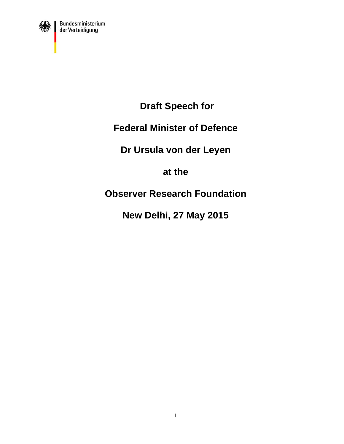

 **Draft Speech for** 

### **Federal Minister of Defence**

## **Dr Ursula von der Leyen**

### **at the**

# **Observer Research Foundation**

# **New Delhi, 27 May 2015**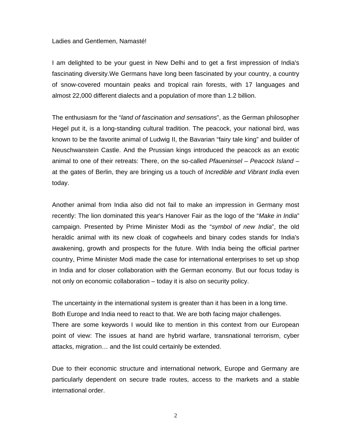#### Ladies and Gentlemen, Namasté!

I am delighted to be your guest in New Delhi and to get a first impression of India's fascinating diversity.We Germans have long been fascinated by your country, a country of snow-covered mountain peaks and tropical rain forests, with 17 languages and almost 22,000 different dialects and a population of more than 1.2 billion.

The enthusiasm for the "*land of fascination and sensations*", as the German philosopher Hegel put it, is a long-standing cultural tradition. The peacock, your national bird, was known to be the favorite animal of Ludwig II, the Bavarian "fairy tale king" and builder of Neuschwanstein Castle. And the Prussian kings introduced the peacock as an exotic animal to one of their retreats: There, on the so-called *Pfaueninsel* – *Peacock Island* – at the gates of Berlin, they are bringing us a touch of *Incredible and Vibrant India* even today.

Another animal from India also did not fail to make an impression in Germany most recently: The lion dominated this year's Hanover Fair as the logo of the "*Make in India*" campaign. Presented by Prime Minister Modi as the "*symbol of new India*", the old heraldic animal with its new cloak of cogwheels and binary codes stands for India's awakening, growth and prospects for the future. With India being the official partner country, Prime Minister Modi made the case for international enterprises to set up shop in India and for closer collaboration with the German economy. But our focus today is not only on economic collaboration – today it is also on security policy.

The uncertainty in the international system is greater than it has been in a long time. Both Europe and India need to react to that. We are both facing major challenges. There are some keywords I would like to mention in this context from our European point of view: The issues at hand are hybrid warfare, transnational terrorism, cyber attacks, migration… and the list could certainly be extended.

Due to their economic structure and international network, Europe and Germany are particularly dependent on secure trade routes, access to the markets and a stable international order.

2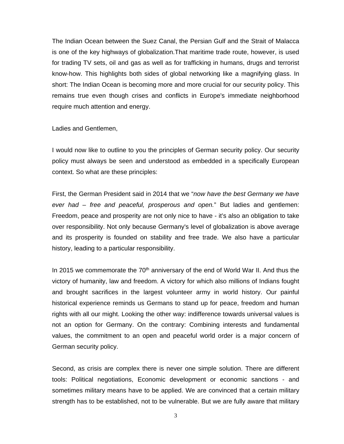The Indian Ocean between the Suez Canal, the Persian Gulf and the Strait of Malacca is one of the key highways of globalization.That maritime trade route, however, is used for trading TV sets, oil and gas as well as for trafficking in humans, drugs and terrorist know-how. This highlights both sides of global networking like a magnifying glass. In short: The Indian Ocean is becoming more and more crucial for our security policy. This remains true even though crises and conflicts in Europe's immediate neighborhood require much attention and energy.

Ladies and Gentlemen,

I would now like to outline to you the principles of German security policy. Our security policy must always be seen and understood as embedded in a specifically European context. So what are these principles:

First, the German President said in 2014 that we "*now have the best Germany we have ever had – free and peaceful, prosperous and open.*" But ladies and gentlemen: Freedom, peace and prosperity are not only nice to have - it's also an obligation to take over responsibility. Not only because Germany's level of globalization is above average and its prosperity is founded on stability and free trade. We also have a particular history, leading to a particular responsibility.

In 2015 we commemorate the  $70<sup>th</sup>$  anniversary of the end of World War II. And thus the victory of humanity, law and freedom. A victory for which also millions of Indians fought and brought sacrifices in the largest volunteer army in world history. Our painful historical experience reminds us Germans to stand up for peace, freedom and human rights with all our might. Looking the other way: indifference towards universal values is not an option for Germany. On the contrary: Combining interests and fundamental values, the commitment to an open and peaceful world order is a major concern of German security policy.

Second, as crisis are complex there is never one simple solution. There are different tools: Political negotiations, Economic development or economic sanctions - and sometimes military means have to be applied. We are convinced that a certain military strength has to be established, not to be vulnerable. But we are fully aware that military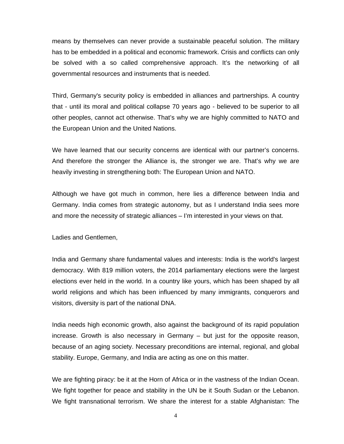means by themselves can never provide a sustainable peaceful solution. The military has to be embedded in a political and economic framework. Crisis and conflicts can only be solved with a so called comprehensive approach. It's the networking of all governmental resources and instruments that is needed.

Third, Germany's security policy is embedded in alliances and partnerships. A country that - until its moral and political collapse 70 years ago - believed to be superior to all other peoples, cannot act otherwise. That's why we are highly committed to NATO and the European Union and the United Nations.

We have learned that our security concerns are identical with our partner's concerns. And therefore the stronger the Alliance is, the stronger we are. That's why we are heavily investing in strengthening both: The European Union and NATO.

Although we have got much in common, here lies a difference between India and Germany. India comes from strategic autonomy, but as I understand India sees more and more the necessity of strategic alliances – I'm interested in your views on that.

Ladies and Gentlemen,

India and Germany share fundamental values and interests: India is the world's largest democracy. With 819 million voters, the 2014 parliamentary elections were the largest elections ever held in the world. In a country like yours, which has been shaped by all world religions and which has been influenced by many immigrants, conquerors and visitors, diversity is part of the national DNA.

India needs high economic growth, also against the background of its rapid population increase. Growth is also necessary in Germany – but just for the opposite reason, because of an aging society. Necessary preconditions are internal, regional, and global stability. Europe, Germany, and India are acting as one on this matter.

We are fighting piracy: be it at the Horn of Africa or in the vastness of the Indian Ocean. We fight together for peace and stability in the UN be it South Sudan or the Lebanon. We fight transnational terrorism. We share the interest for a stable Afghanistan: The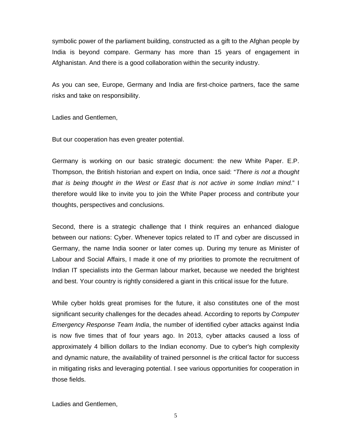symbolic power of the parliament building, constructed as a gift to the Afghan people by India is beyond compare. Germany has more than 15 years of engagement in Afghanistan. And there is a good collaboration within the security industry.

As you can see, Europe, Germany and India are first-choice partners, face the same risks and take on responsibility.

Ladies and Gentlemen,

But our cooperation has even greater potential.

Germany is working on our basic strategic document: the new White Paper. E.P. Thompson, the British historian and expert on India, once said: "*There is not a thought that is being thought in the West or East that is not active in some Indian mind.*" I therefore would like to invite you to join the White Paper process and contribute your thoughts, perspectives and conclusions.

Second, there is a strategic challenge that I think requires an enhanced dialogue between our nations: Cyber. Whenever topics related to IT and cyber are discussed in Germany, the name India sooner or later comes up. During my tenure as Minister of Labour and Social Affairs, I made it one of my priorities to promote the recruitment of Indian IT specialists into the German labour market, because we needed the brightest and best. Your country is rightly considered a giant in this critical issue for the future.

While cyber holds great promises for the future, it also constitutes one of the most significant security challenges for the decades ahead. According to reports by *Computer Emergency Response Team India*, the number of identified cyber attacks against India is now five times that of four years ago. In 2013, cyber attacks caused a loss of approximately 4 billion dollars to the Indian economy. Due to cyber's high complexity and dynamic nature, the availability of trained personnel is *the* critical factor for success in mitigating risks and leveraging potential. I see various opportunities for cooperation in those fields.

Ladies and Gentlemen,